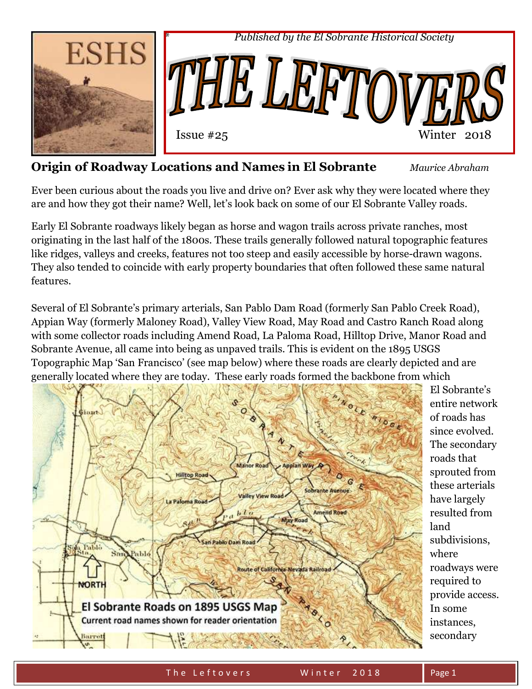

# **Origin of Roadway Locations and Names in El Sobrante** *Maurice Abraham*

Ever been curious about the roads you live and drive on? Ever ask why they were located where they are and how they got their name? Well, let's look back on some of our El Sobrante Valley roads.

Early El Sobrante roadways likely began as horse and wagon trails across private ranches, most originating in the last half of the 1800s. These trails generally followed natural topographic features like ridges, valleys and creeks, features not too steep and easily accessible by horse-drawn wagons. They also tended to coincide with early property boundaries that often followed these same natural features.

Several of El Sobrante's primary arterials, San Pablo Dam Road (formerly San Pablo Creek Road), Appian Way (formerly Maloney Road), Valley View Road, May Road and Castro Ranch Road along with some collector roads including Amend Road, La Paloma Road, Hilltop Drive, Manor Road and Sobrante Avenue, all came into being as unpaved trails. This is evident on the 1895 USGS Topographic Map 'San Francisco' (see map below) where these roads are clearly depicted and are generally located where they are today. These early roads formed the backbone from which



El Sobrante's entire network of roads has since evolved. The secondary roads that sprouted from these arterials have largely resulted from land subdivisions, where roadways were required to provide access. In some instances, secondary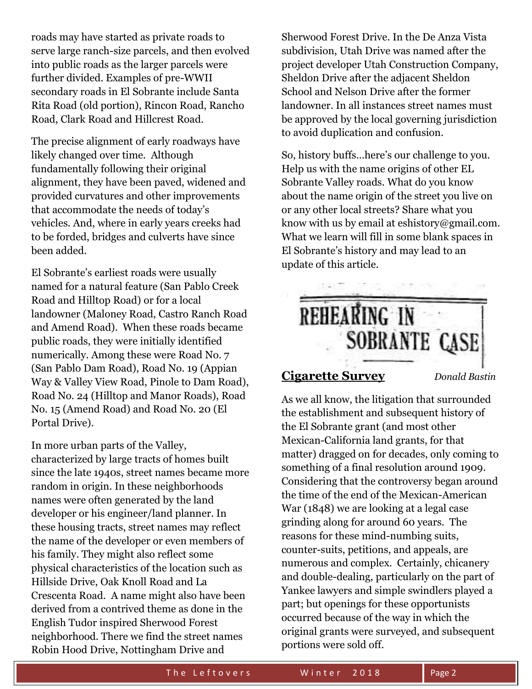roads may have started as private roads to serve large ranch-size parcels, and then evolved into public roads as the larger parcels were further divided. Examples of pre-WWII secondary roads in El Sobrante include Santa Rita Road (old portion), Rincon Road, Rancho Road, Clark Road and Hillcrest Road.

The precise alignment of early roadways have likely changed over time. Although fundamentally following their original alignment, they have been paved, widened and provided curvatures and other improvements that accommodate the needs of today's vehicles. And, where in early years creeks had to be forded, bridges and culverts have since been added.

El Sobrante's earliest roads were usually named for a natural feature (San Pablo Creek Road and Hilltop Road) or for a local landowner (Maloney Road, Castro Ranch Road and Amend Road). When these roads became public roads, they were initially identified numerically. Among these were Road No. 7 (San Pablo Dam Road), Road No. 19 (Appian Way & Valley View Road, Pinole to Dam Road), Road No. 24 (Hilltop and Manor Roads), Road No. 15 (Amend Road) and Road No. 20 (El Portal Drive).

In more urban parts of the Valley, characterized by large tracts of homes built since the late 1940s, street names became more random in origin. In these neighborhoods names were often generated by the land developer or his engineer/land planner. In these housing tracts, street names may reflect the name of the developer or even members of his family. They might also reflect some physical characteristics of the location such as Hillside Drive, Oak Knoll Road and La Crescenta Road. A name might also have been derived from a contrived theme as done in the English Tudor inspired Sherwood Forest neighborhood. There we find the street names Robin Hood Drive, Nottingham Drive and

Sherwood Forest Drive. In the De Anza Vista subdivision, Utah Drive was named after the project developer Utah Construction Company, Sheldon Drive after the adjacent Sheldon School and Nelson Drive after the former landowner. In all instances street names must be approved by the local governing jurisdiction to avoid duplication and confusion.

So, history buffs…here's our challenge to you. Help us with the name origins of other EL Sobrante Valley roads. What do you know about the name origin of the street you live on or any other local streets? Share what you know with us by email at eshistory@gmail.com. What we learn will fill in some blank spaces in El Sobrante's history and may lead to an update of this article.



#### **Cigarette Survey** *Donald Bastin*

As we all know, the litigation that surrounded the establishment and subsequent history of the El Sobrante grant (and most other Mexican-California land grants, for that matter) dragged on for decades, only coming to something of a final resolution around 1909. Considering that the controversy began around the time of the end of the Mexican-American War (1848) we are looking at a legal case grinding along for around 60 years. The reasons for these mind-numbing suits, counter-suits, petitions, and appeals, are numerous and complex. Certainly, chicanery and double-dealing, particularly on the part of Yankee lawyers and simple swindlers played a part; but openings for these opportunists occurred because of the way in which the original grants were surveyed, and subsequent portions were sold off.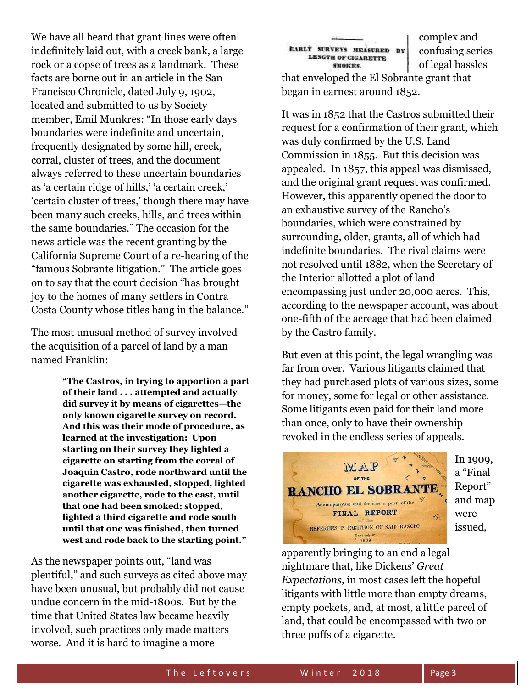We have all heard that grant lines were often indefinitely laid out, with a creek bank, a large rock or a copse of trees as a landmark. These facts are borne out in an article in the San Francisco Chronicle, dated July 9, 1902, located and submitted to us by Society member, Emil Munkres: "In those early days boundaries were indefinite and uncertain, frequently designated by some hill, creek, corral, cluster of trees, and the document always referred to these uncertain boundaries as 'a certain ridge of hills,' 'a certain creek,' 'certain cluster of trees,' though there may have been many such creeks, hills, and trees within the same boundaries." The occasion for the news article was the recent granting by the California Supreme Court of a re-hearing of the "famous Sobrante litigation." The article goes on to say that the court decision "has brought joy to the homes of many settlers in Contra Costa County whose titles hang in the balance."

The most unusual method of survey involved the acquisition of a parcel of land by a man named Franklin:

> **"The Castros, in trying to apportion a part of their land . . . attempted and actually did survey it by means of cigarettes—the only known cigarette survey on record. And this was their mode of procedure, as learned at the investigation: Upon starting on their survey they lighted a cigarette on starting from the corral of Joaquin Castro, rode northward until the cigarette was exhausted, stopped, lighted another cigarette, rode to the east, until that one had been smoked; stopped, lighted a third cigarette and rode south until that one was finished, then turned west and rode back to the starting point."**

As the newspaper points out, "land was plentiful," and such surveys as cited above may have been unusual, but probably did not cause undue concern in the mid-1800s. But by the time that United States law became heavily involved, such practices only made matters worse. And it is hard to imagine a more

EARLY SURVEYS HEASURED BY **LENGTH OF CIGARETTE** SMOKES.

complex and confusing series of legal hassles

that enveloped the El Sobrante grant that began in earnest around 1852.

It was in 1852 that the Castros submitted their request for a confirmation of their grant, which was duly confirmed by the U.S. Land Commission in 1855. But this decision was appealed. In 1857, this appeal was dismissed, and the original grant request was confirmed. However, this apparently opened the door to an exhaustive survey of the Rancho's boundaries, which were constrained by surrounding, older, grants, all of which had indefinite boundaries. The rival claims were not resolved until 1882, when the Secretary of the Interior allotted a plot of land encompassing just under 20,000 acres. This, according to the newspaper account, was about one-fifth of the acreage that had been claimed by the Castro family.

But even at this point, the legal wrangling was far from over. Various litigants claimed that they had purchased plots of various sizes, some for money, some for legal or other assistance. Some litigants even paid for their land more than once, only to have their ownership revoked in the endless series of appeals.



In 1909, a "Final Report" and map were issued,

apparently bringing to an end a legal nightmare that, like Dickens' *Great Expectations,* in most cases left the hopeful litigants with little more than empty dreams, empty pockets, and, at most, a little parcel of land, that could be encompassed with two or three puffs of a cigarette.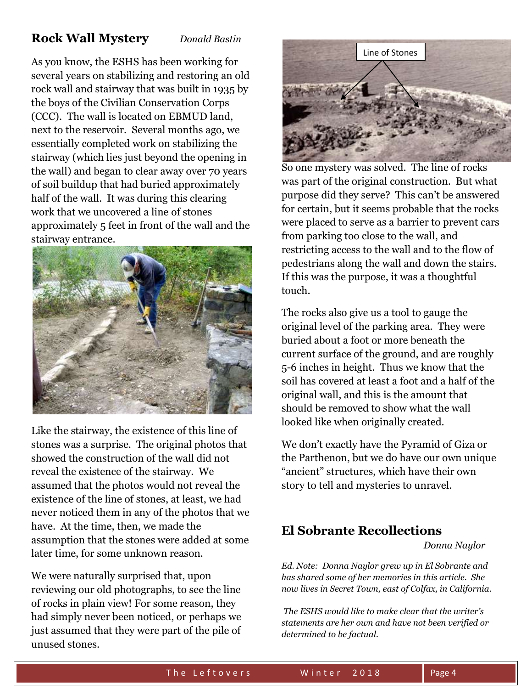## **Rock Wall Mystery** *Donald Bastin*

As you know, the ESHS has been working for several years on stabilizing and restoring an old rock wall and stairway that was built in 1935 by the boys of the Civilian Conservation Corps (CCC). The wall is located on EBMUD land, next to the reservoir. Several months ago, we essentially completed work on stabilizing the stairway (which lies just beyond the opening in the wall) and began to clear away over 70 years of soil buildup that had buried approximately half of the wall. It was during this clearing work that we uncovered a line of stones approximately 5 feet in front of the wall and the stairway entrance.



Like the stairway, the existence of this line of stones was a surprise. The original photos that showed the construction of the wall did not reveal the existence of the stairway. We assumed that the photos would not reveal the existence of the line of stones, at least, we had never noticed them in any of the photos that we have. At the time, then, we made the assumption that the stones were added at some later time, for some unknown reason.

We were naturally surprised that, upon reviewing our old photographs, to see the line of rocks in plain view! For some reason, they had simply never been noticed, or perhaps we just assumed that they were part of the pile of unused stones.



So one mystery was solved. The line of rocks was part of the original construction. But what purpose did they serve? This can't be answered for certain, but it seems probable that the rocks were placed to serve as a barrier to prevent cars from parking too close to the wall, and restricting access to the wall and to the flow of pedestrians along the wall and down the stairs. If this was the purpose, it was a thoughtful touch.

The rocks also give us a tool to gauge the original level of the parking area. They were buried about a foot or more beneath the current surface of the ground, and are roughly 5-6 inches in height. Thus we know that the soil has covered at least a foot and a half of the original wall, and this is the amount that should be removed to show what the wall looked like when originally created.

We don't exactly have the Pyramid of Giza or the Parthenon, but we do have our own unique "ancient" structures, which have their own story to tell and mysteries to unravel.

## **El Sobrante Recollections**

*Donna Naylor*

*Ed. Note: Donna Naylor grew up in El Sobrante and has shared some of her memories in this article. She now lives in Secret Town, east of Colfax, in California.*

*The ESHS would like to make clear that the writer's statements are her own and have not been verified or determined to be factual.*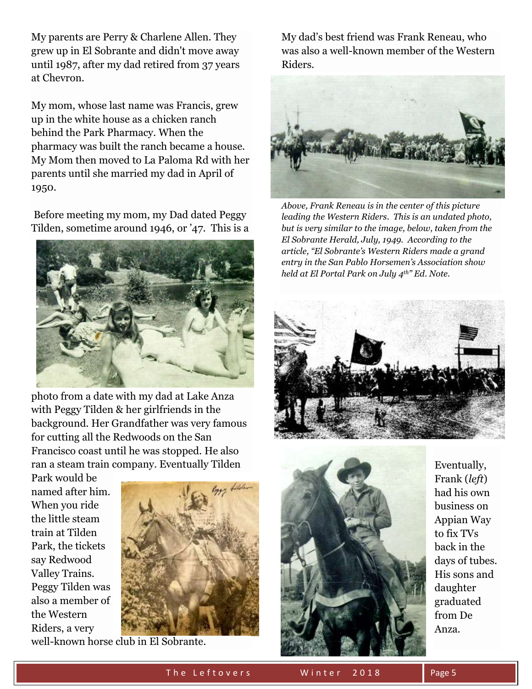My parents are Perry & Charlene Allen. They grew up in El Sobrante and didn't move away until 1987, after my dad retired from 37 years at Chevron.

My mom, whose last name was Francis, grew up in the white house as a chicken ranch behind the Park Pharmacy. When the pharmacy was built the ranch became a house. My Mom then moved to La Paloma Rd with her parents until she married my dad in April of 1950.

Before meeting my mom, my Dad dated Peggy Tilden, sometime around 1946, or '47. This is a



photo from a date with my dad at Lake Anza with Peggy Tilden & her girlfriends in the background. Her Grandfather was very famous for cutting all the Redwoods on the San Francisco coast until he was stopped. He also ran a steam train company. Eventually Tilden

Park would be named after him. When you ride the little steam train at Tilden Park, the tickets say Redwood Valley Trains. Peggy Tilden was also a member of the Western Riders, a very



well-known horse club in El Sobrante.

My dad's best friend was Frank Reneau, who was also a well-known member of the Western Riders.



*Above, Frank Reneau is in the center of this picture leading the Western Riders. This is an undated photo, but is very similar to the image, below, taken from the El Sobrante Herald, July, 1949. According to the article, "El Sobrante's Western Riders made a grand entry in the San Pablo Horsemen's Association show held at El Portal Park on July 4th" Ed. Note.* 





Eventually, Frank (*left*) had his own business on Appian Way to fix TVs back in the days of tubes. His sons and daughter graduated from De Anza.

The Leftovers Winter 2018 Rage 5